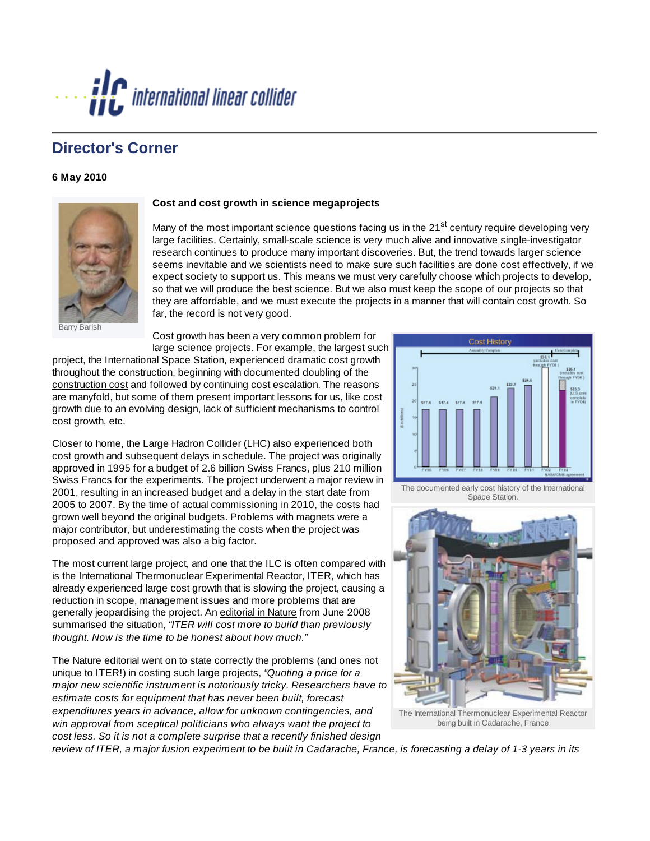

## **Director's Corner**

## **6 May 2010**



## **Cost and cost growth in science megaprojects**

Many of the most important science questions facing us in the 21<sup>st</sup> century require developing very large facilities. Certainly, small-scale science is very much alive and innovative single-investigator research continues to produce many important discoveries. But, the trend towards larger science seems inevitable and we scientists need to make sure such facilities are done cost effectively, if we expect society to support us. This means we must very carefully choose which projects to develop, so that we will produce the best science. But we also must keep the scope of our projects so that they are affordable, and we must execute the projects in a manner that will contain cost growth. So far, the record is not very good.

Barish

Cost growth has been a very common problem for large science projects. For example, the largest such

project, the International Space Station, experienced dramatic cost growth throughout the construction, beginning with documented [doubling of the](http://www.linearcollider.org/newsline/pdfs/ISS-Cost.pdf) [construction cos](http://www.linearcollider.org/newsline/pdfs/ISS-Cost.pdf)t and followed by continuing cost escalation. The reasons are manyfold, but some of them present important lessons for us, like cost growth due to an evolving design, lack of sufficient mechanisms to control cost growth, etc.

Closer to home, the Large Hadron Collider (LHC) also experienced both cost growth and subsequent delays in schedule. The project was originally approved in 1995 for a budget of 2.6 billion Swiss Francs, plus 210 million Swiss Francs for the experiments. The project underwent a major review in 2001, resulting in an increased budget and a delay in the start date from 2005 to 2007. By the time of actual commissioning in 2010, the costs had grown well beyond the original budgets. Problems with magnets were a major contributor, but underestimating the costs when the project was proposed and approved was also a big factor.

The most current large project, and one that the ILC is often compared with is the International Thermonuclear Experimental Reactor, ITER, which has already experienced large cost growth that is slowing the project, causing a reduction in scope, management issues and more problems that are generally jeopardising the project. An [editorial in Nature](http://www.linearcollider.org/newsline/pdfs/Nature-ITER.pdf) from June 2008 summarised the situation, *"ITER will cost more to build than previously thought. Now is the time to be honest about how much."*

The Nature editorial went on to state correctly the problems (and ones not unique to ITER!) in costing such large projects, *"Quoting a price for a major new scientific instrument is notoriously tricky. Researchers have to estimate costs for equipment that has never been built, forecast expenditures years in advance, allow for unknown contingencies, and win approval from sceptical politicians who always want the project to cost less. So it is not a complete surprise that a recently finished design*



The documented early cost history of the International Space Station.



The International Thermonuclear Experimental Reactor being built in Cadarache, France

*review of ITER, a major fusion experiment to be built in Cadarache, France, is forecasting a delay of 1-3 years in its*